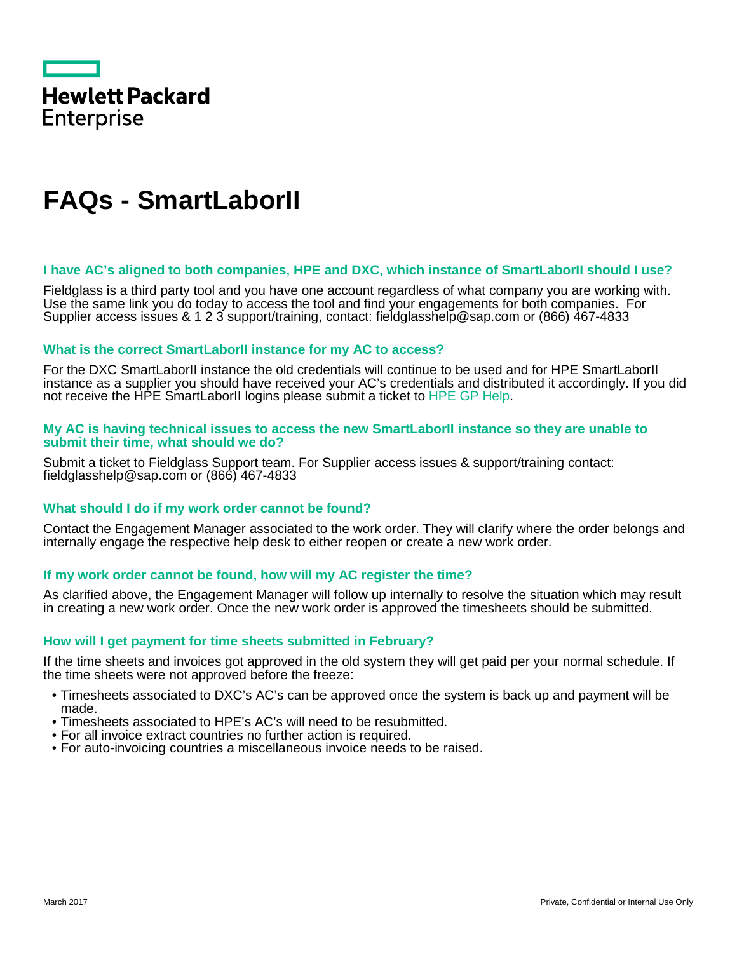

# **FAQs - SmartLaborII**

## **I have AC's aligned to both companies, HPE and DXC, which instance of SmartLaborII should I use?**

Fieldglass is a third party tool and you have one account regardless of what company you are working with. Use the same link you do today to access the tool and find your engagements for both companies. For Supplier access issues & 1 2 3 support/training, contact: fieldglasshelp@sap.com or (866) 467-4833

## **What is the correct SmartLaborII instance for my AC to access?**

For the DXC SmartLaborII instance the old credentials will continue to be used and for HPE SmartLaborII instance as a supplier you should have received your AC's credentials and distributed it accordingly. If you did not receive the HPE SmartLaborII logins please submit a ticket to [HPE GP Help.](https://hpe.sharepoint.com/sites/F3/COO/procurementcentral/sitepages/gphelp.aspx)

#### **My AC is having technical issues to access the new SmartLaborII instance so they are unable to submit their time, what should we do?**

Submit a ticket to Fieldglass Support team. For Supplier access issues & support/training contact: fieldglasshelp@sap.com or (866) 467-4833

# **What should I do if my work order cannot be found?**

Contact the Engagement Manager associated to the work order. They will clarify where the order belongs and internally engage the respective help desk to either reopen or create a new work order.

# **If my work order cannot be found, how will my AC register the time?**

As clarified above, the Engagement Manager will follow up internally to resolve the situation which may result in creating a new work order. Once the new work order is approved the timesheets should be submitted.

# **How will I get payment for time sheets submitted in February?**

If the time sheets and invoices got approved in the old system they will get paid per your normal schedule. If the time sheets were not approved before the freeze:

- Timesheets associated to DXC's AC's can be approved once the system is back up and payment will be made.
- Timesheets associated to HPE's AC's will need to be resubmitted.
- For all invoice extract countries no further action is required.
- For auto-invoicing countries a miscellaneous invoice needs to be raised.